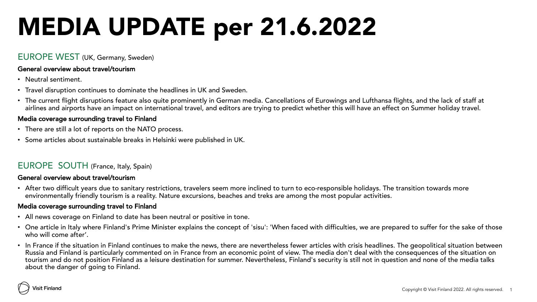# MEDIA UPDATE per 21.6.2022

### EUROPE WEST (UK, Germany, Sweden)

#### General overview about travel/tourism

- Neutral sentiment.
- Travel disruption continues to dominate the headlines in UK and Sweden.
- The current flight disruptions feature also quite prominently in German media. Cancellations of Eurowings and Lufthansa flights, and the lack of staff at airlines and airports have an impact on international travel, and editors are trying to predict whether this will have an effect on Summer holiday travel.

#### Media coverage surrounding travel to Finland

- There are still a lot of reports on the NATO process.
- Some articles about sustainable breaks in Helsinki were published in UK.

# EUROPE SOUTH (France, Italy, Spain)

#### General overview about travel/tourism

• After two difficult years due to sanitary restrictions, travelers seem more inclined to turn to eco-responsible holidays. The transition towards more environmentally friendly tourism is a reality. Nature excursions, beaches and treks are among the most popular activities.

#### Media coverage surrounding travel to Finland

- All news coverage on Finland to date has been neutral or positive in tone.
- One article in Italy where Finland's Prime Minister explains the concept of 'sisu': 'When faced with difficulties, we are prepared to suffer for the sake of those who will come after'.
- In France if the situation in Finland continues to make the news, there are nevertheless fewer articles with crisis headlines. The geopolitical situation between Russia and Finland is particularly commented on in France from an economic point of view. The media don't deal with the consequences of the situation on tourism and do not position Finland as a leisure destination for summer. Nevertheless, Finland's security is still not in question and none of the media talks about the danger of going to Finland.